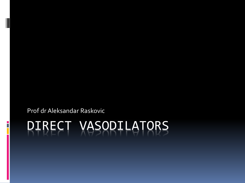Prof dr Aleksandar Raskovic

# DIRECT VASODILATORS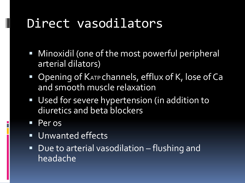- **•** Minoxidil (one of the most powerful peripheral arterial dilators)
- Opening of KATP channels, efflux of K, lose of Ca and smooth muscle relaxation
- **Used for severe hypertension (in addition to** diuretics and beta blockers
- **Peros**

- **Unwanted effects**
- Due to arterial vasodilation flushing and headache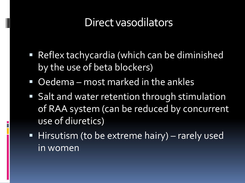- Reflex tachycardia (which can be diminished by the use of beta blockers)
- **Oedema** most marked in the ankles
- **Salt and water retention through stimulation** of RAA system (can be reduced by concurrent use of diuretics)
- Hirsutism (to be extreme hairy) rarely used in women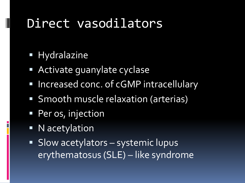**Hydralazine** 

- Activate guanylate cyclase
- **Increased conc. of cGMP intracellulary**
- Smooth muscle relaxation (arterias)
- **Per os, injection**
- N acetylation
- Slow acetylators systemic lupus erythematosus (SLE) – like syndrome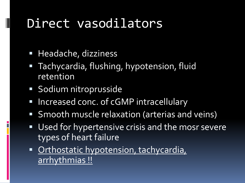**Headache, dizziness** 

- **Tachycardia, flushing, hypotension, fluid** retention
- Sodium nitroprusside
- Increased conc. of cGMP intracellulary
- Smooth muscle relaxation (arterias and veins)
- Used for hypertensive crisis and the mosr severe types of heart failure
- **Crthostatic hypotension, tachycardia,** arrhythmias !!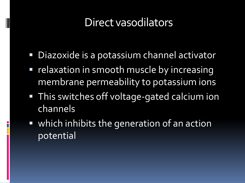- Diazoxide is a potassium channel activator
- **P** relaxation in smooth muscle by increasing membrane permeability to potassium ions
- **This switches off voltage-gated calcium ion** channels
- which inhibits the generation of an action potential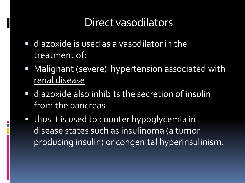- diazoxide is used as a vasodilator in the treatment of:
- Malignant (severe) hypertension associated with renal disease
- diazoxide also inhibits the secretion of insulin from the pancreas
- thus it is used to counter hypoglycemia in disease states such as insulinoma (a tumor producing insulin) or congenital hyperinsulinism.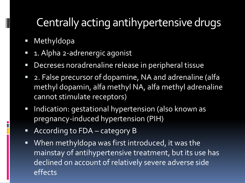**Methyldopa** 

- **1.** Alpha 2-adrenergic agonist
- Decreses noradrenaline release in peripheral tissue
- **2. False precursor of dopamine, NA and adrenaline (alfa** methyl dopamin, alfa methyl NA, alfa methyl adrenaline cannot stimulate receptors)
- **Indication: gestational hypertension (also known as** pregnancy-induced hypertension (PIH)
- According to FDA category B
- When methyldopa was first introduced, it was the mainstay of antihypertensive treatment, but its use has declined on account of relatively severe adverse side effects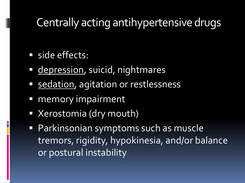#### side effects:

- **depression**, suicid, nightmares
- **Sedation**, agitation or restlessness
- memory impairment
- Xerostomia (dry mouth)
- Parkinsonian symptoms such as muscle tremors, rigidity, hypokinesia, and/or balance or postural instability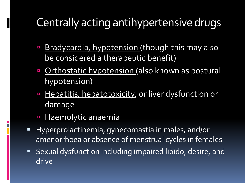- **Bradycardia, hypotension (though this may also** be considered a therapeutic benefit)
- **D** Orthostatic hypotension (also known as postural hypotension)
- **Hepatitis, hepatotoxicity, or liver dysfunction or** damage
- **Haemolytic anaemia**

- **Hyperprolactinemia, gynecomastia in males, and/or** amenorrhoea or absence of menstrual cycles in females
- Sexual dysfunction including impaired libido, desire, and drive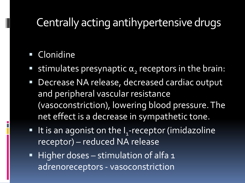#### **Clonidine**

- stimulates presynaptic  $\alpha$ <sub>2</sub> receptors in the brain:
- **Decrease NA release, decreased cardiac output** and peripheral vascular resistance (vasoconstriction), lowering blood pressure. The net effect is a decrease in sympathetic tone.
- $\blacksquare$  It is an agonist on the I<sub>1</sub>-receptor (imidazoline receptor) – reduced NA release
- $\blacksquare$  Higher doses stimulation of alfa 1 adrenoreceptors - vasoconstriction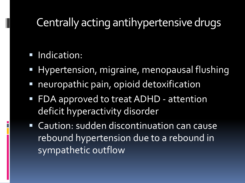#### **Indication:**

- **Hypertension, migraine, menopausal flushing**
- neuropathic pain, opioid detoxification
- **FDA approved to treat ADHD attention** deficit hyperactivity disorder
- **Example 1 Caution: sudden discontinuation can cause** rebound hypertension due to a rebound in sympathetic outflow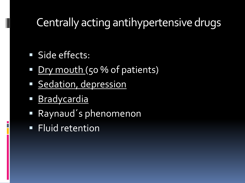Side effects:

- Dry mouth (50 % of patients)
- **Sedation, depression**
- Bradycardia
- Raynaud´s phenomenon
- **Fluid retention**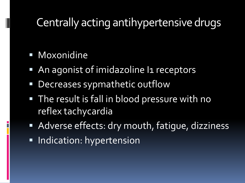Moxonidine

- An agonist of imidazoline In receptors
- Decreases sypmathetic outflow
- **The result is fall in blood pressure with no** reflex tachycardia
- Adverse effects: dry mouth, fatique, dizziness
- **Indication: hypertension**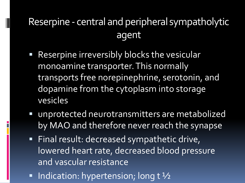#### Reserpine - central and peripheral sympatholytic agent

- **Reserpine irreversibly blocks the vesicular** monoamine transporter.This normally transports free norepinephrine, serotonin, and dopamine from the cytoplasm into storage vesicles
- unprotected neurotransmitters are metabolized by MAO and therefore never reach the synapse
- **Final result: decreased sympathetic drive,** lowered heart rate, decreased blood pressure and vascular resistance
- Indication: hypertension; long  $t\frac{1}{2}$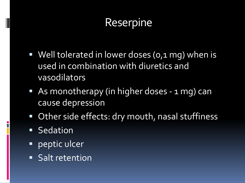#### Reserpine

- Well tolerated in lower doses (0,1 mg) when is used in combination with diuretics and vasodilators
- **As monotherapy (in higher doses 1 mg) can** cause depression
- Other side effects: dry mouth, nasal stuffiness
- **Sedation**
- **PEPERIC ULCET**
- **Salt retention**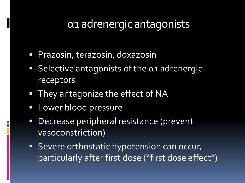#### α1 adrenergic antagonists

- **Prazosin, terazosin, doxazosin**
- $\blacksquare$  Selective antagonists of the  $\alpha$ 1 adrenergic receptors
- **They antagonize the effect of NA**
- **Lower blood pressure**
- **Decrease peripheral resistance (prevent** vasoconstriction)
- **Severe orthostatic hypotension can occur,** particularly after first dose ("first dose effect")